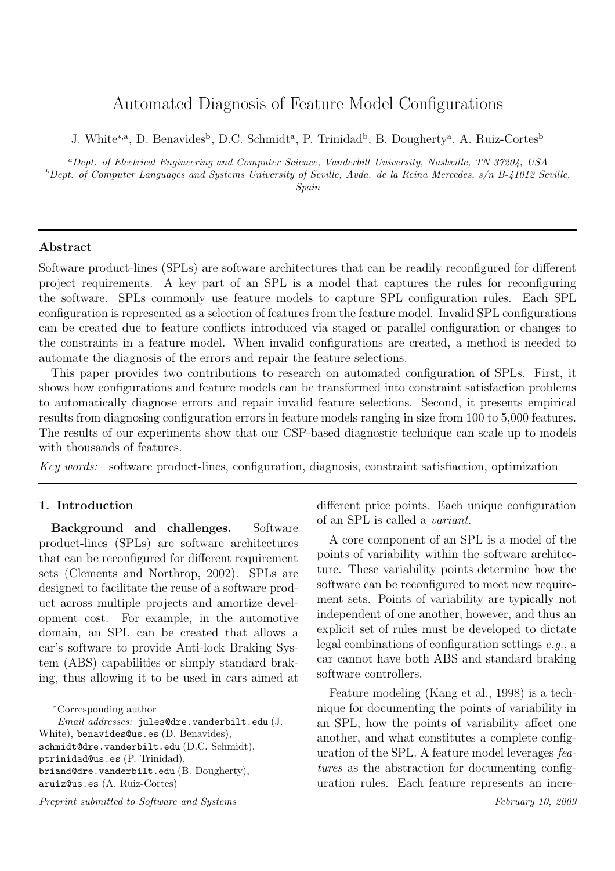# Automated Diagnosis of Feature Model Configurations

J. White<sup>\*,a</sup>, D. Benavides<sup>b</sup>, D.C. Schmidt<sup>a</sup>, P. Trinidad<sup>b</sup>, B. Dougherty<sup>a</sup>, A. Ruiz-Cortes<sup>b</sup>

<sup>a</sup>*Dept. of Electrical Engineering and Computer Science, Vanderbilt University, Nashville, TN 37204, USA* <sup>b</sup>*Dept. of Computer Languages and Systems University of Seville, Avda. de la Reina Mercedes, s/n B-41012 Seville,*

*Spain*

### Abstract

Software product-lines (SPLs) are software architectures that can be readily reconfigured for different project requirements. A key part of an SPL is a model that captures the rules for reconfiguring the software. SPLs commonly use feature models to capture SPL configuration rules. Each SPL configuration is represented as a selection of features from the feature model. Invalid SPL configurations can be created due to feature conflicts introduced via staged or parallel configuration or changes to the constraints in a feature model. When invalid configurations are created, a method is needed to automate the diagnosis of the errors and repair the feature selections.

This paper provides two contributions to research on automated configuration of SPLs. First, it shows how configurations and feature models can be transformed into constraint satisfaction problems to automatically diagnose errors and repair invalid feature selections. Second, it presents empirical results from diagnosing configuration errors in feature models ranging in size from 100 to 5,000 features. The results of our experiments show that our CSP-based diagnostic technique can scale up to models with thousands of features.

*Key words:* software product-lines, configuration, diagnosis, constraint satisfiaction, optimization

# 1. Introduction

Background and challenges. Software product-lines (SPLs) are software architectures that can be reconfigured for different requirement sets (Clements and Northrop, 2002). SPLs are designed to facilitate the reuse of a software product across multiple projects and amortize development cost. For example, in the automotive domain, an SPL can be created that allows a car's software to provide Anti-lock Braking System (ABS) capabilities or simply standard braking, thus allowing it to be used in cars aimed at

*Preprint submitted to Software and Systems February 10, 2009*

different price points. Each unique configuration of an SPL is called a *variant*.

A core component of an SPL is a model of the points of variability within the software architecture. These variability points determine how the software can be reconfigured to meet new requirement sets. Points of variability are typically not independent of one another, however, and thus an explicit set of rules must be developed to dictate legal combinations of configuration settings *e.g.*, a car cannot have both ABS and standard braking software controllers.

Feature modeling (Kang et al., 1998) is a technique for documenting the points of variability in an SPL, how the points of variability affect one another, and what constitutes a complete configuration of the SPL. A feature model leverages *features* as the abstraction for documenting configuration rules. Each feature represents an incre-

<sup>∗</sup>Corresponding author

*Email addresses:* jules@dre.vanderbilt.edu (J. White), benavides@us.es (D. Benavides), schmidt@dre.vanderbilt.edu (D.C. Schmidt), ptrinidad@us.es (P. Trinidad), briand@dre.vanderbilt.edu (B. Dougherty), aruiz@us.es (A. Ruiz-Cortes)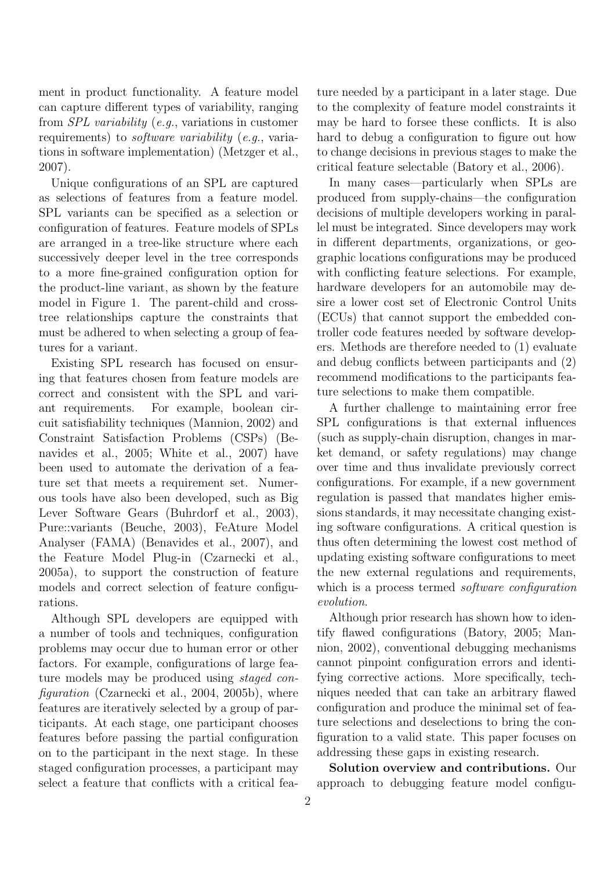ment in product functionality. A feature model can capture different types of variability, ranging from *SPL variability* (*e.g.*, variations in customer requirements) to *software variability* (*e.g.*, variations in software implementation) (Metzger et al., 2007).

Unique configurations of an SPL are captured as selections of features from a feature model. SPL variants can be specified as a selection or configuration of features. Feature models of SPLs are arranged in a tree-like structure where each successively deeper level in the tree corresponds to a more fine-grained configuration option for the product-line variant, as shown by the feature model in Figure 1. The parent-child and crosstree relationships capture the constraints that must be adhered to when selecting a group of features for a variant.

Existing SPL research has focused on ensuring that features chosen from feature models are correct and consistent with the SPL and variant requirements. For example, boolean circuit satisfiability techniques (Mannion, 2002) and Constraint Satisfaction Problems (CSPs) (Benavides et al., 2005; White et al., 2007) have been used to automate the derivation of a feature set that meets a requirement set. Numerous tools have also been developed, such as Big Lever Software Gears (Buhrdorf et al., 2003), Pure::variants (Beuche, 2003), FeAture Model Analyser (FAMA) (Benavides et al., 2007), and the Feature Model Plug-in (Czarnecki et al., 2005a), to support the construction of feature models and correct selection of feature configurations.

Although SPL developers are equipped with a number of tools and techniques, configuration problems may occur due to human error or other factors. For example, configurations of large feature models may be produced using *staged configuration* (Czarnecki et al., 2004, 2005b), where features are iteratively selected by a group of participants. At each stage, one participant chooses features before passing the partial configuration on to the participant in the next stage. In these staged configuration processes, a participant may select a feature that conflicts with a critical feature needed by a participant in a later stage. Due to the complexity of feature model constraints it may be hard to forsee these conflicts. It is also hard to debug a configuration to figure out how to change decisions in previous stages to make the critical feature selectable (Batory et al., 2006).

In many cases—particularly when SPLs are produced from supply-chains—the configuration decisions of multiple developers working in parallel must be integrated. Since developers may work in different departments, organizations, or geographic locations configurations may be produced with conflicting feature selections. For example, hardware developers for an automobile may desire a lower cost set of Electronic Control Units (ECUs) that cannot support the embedded controller code features needed by software developers. Methods are therefore needed to (1) evaluate and debug conflicts between participants and (2) recommend modifications to the participants feature selections to make them compatible.

A further challenge to maintaining error free SPL configurations is that external influences (such as supply-chain disruption, changes in market demand, or safety regulations) may change over time and thus invalidate previously correct configurations. For example, if a new government regulation is passed that mandates higher emissions standards, it may necessitate changing existing software configurations. A critical question is thus often determining the lowest cost method of updating existing software configurations to meet the new external regulations and requirements, which is a process termed *software configuration evolution*.

Although prior research has shown how to identify flawed configurations (Batory, 2005; Mannion, 2002), conventional debugging mechanisms cannot pinpoint configuration errors and identifying corrective actions. More specifically, techniques needed that can take an arbitrary flawed configuration and produce the minimal set of feature selections and deselections to bring the configuration to a valid state. This paper focuses on addressing these gaps in existing research.

Solution overview and contributions. Our approach to debugging feature model configu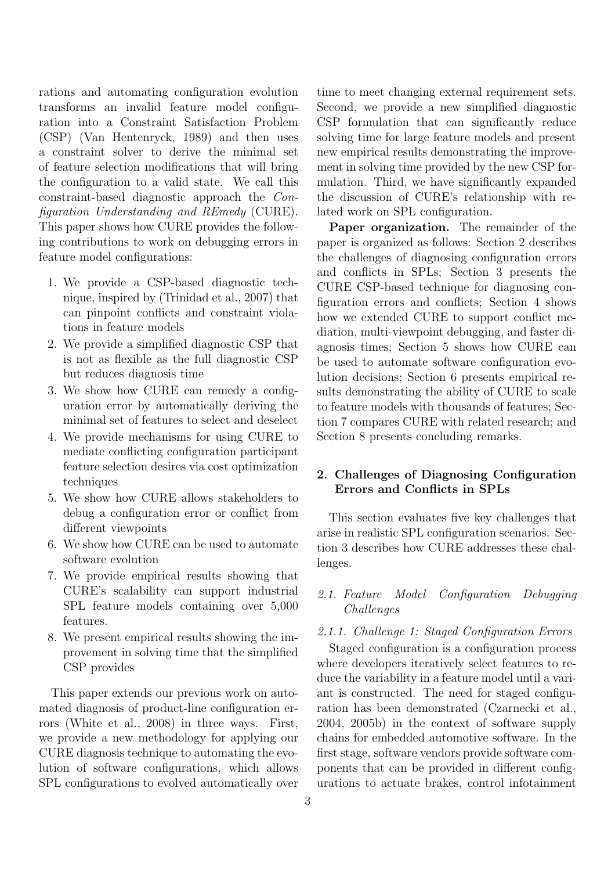rations and automating configuration evolution transforms an invalid feature model configuration into a Constraint Satisfaction Problem (CSP) (Van Hentenryck, 1989) and then uses a constraint solver to derive the minimal set of feature selection modifications that will bring the configuration to a valid state. We call this constraint-based diagnostic approach the *Configuration Understanding and REmedy* (CURE). This paper shows how CURE provides the following contributions to work on debugging errors in feature model configurations:

- 1. We provide a CSP-based diagnostic technique, inspired by (Trinidad et al., 2007) that can pinpoint conflicts and constraint violations in feature models
- 2. We provide a simplified diagnostic CSP that is not as flexible as the full diagnostic CSP but reduces diagnosis time
- 3. We show how CURE can remedy a configuration error by automatically deriving the minimal set of features to select and deselect
- 4. We provide mechanisms for using CURE to mediate conflicting configuration participant feature selection desires via cost optimization techniques
- 5. We show how CURE allows stakeholders to debug a configuration error or conflict from different viewpoints
- 6. We show how CURE can be used to automate software evolution
- 7. We provide empirical results showing that CURE's scalability can support industrial SPL feature models containing over 5,000 features.
- 8. We present empirical results showing the improvement in solving time that the simplified CSP provides

This paper extends our previous work on automated diagnosis of product-line configuration errors (White et al., 2008) in three ways. First, we provide a new methodology for applying our CURE diagnosis technique to automating the evolution of software configurations, which allows SPL configurations to evolved automatically over

time to meet changing external requirement sets. Second, we provide a new simplified diagnostic CSP formulation that can significantly reduce solving time for large feature models and present new empirical results demonstrating the improvement in solving time provided by the new CSP formulation. Third, we have significantly expanded the discussion of CURE's relationship with related work on SPL configuration.

Paper organization. The remainder of the paper is organized as follows: Section 2 describes the challenges of diagnosing configuration errors and conflicts in SPLs; Section 3 presents the CURE CSP-based technique for diagnosing configuration errors and conflicts; Section 4 shows how we extended CURE to support conflict mediation, multi-viewpoint debugging, and faster diagnosis times; Section 5 shows how CURE can be used to automate software configuration evolution decisions; Section 6 presents empirical results demonstrating the ability of CURE to scale to feature models with thousands of features; Section 7 compares CURE with related research; and Section 8 presents concluding remarks.

# 2. Challenges of Diagnosing Configuration Errors and Conflicts in SPLs

This section evaluates five key challenges that arise in realistic SPL configuration scenarios. Section 3 describes how CURE addresses these challenges.

# *2.1. Feature Model Configuration Debugging Challenges*

*2.1.1. Challenge 1: Staged Configuration Errors*

Staged configuration is a configuration process where developers iteratively select features to reduce the variability in a feature model until a variant is constructed. The need for staged configuration has been demonstrated (Czarnecki et al., 2004, 2005b) in the context of software supply chains for embedded automotive software. In the first stage, software vendors provide software components that can be provided in different configurations to actuate brakes, control infotainment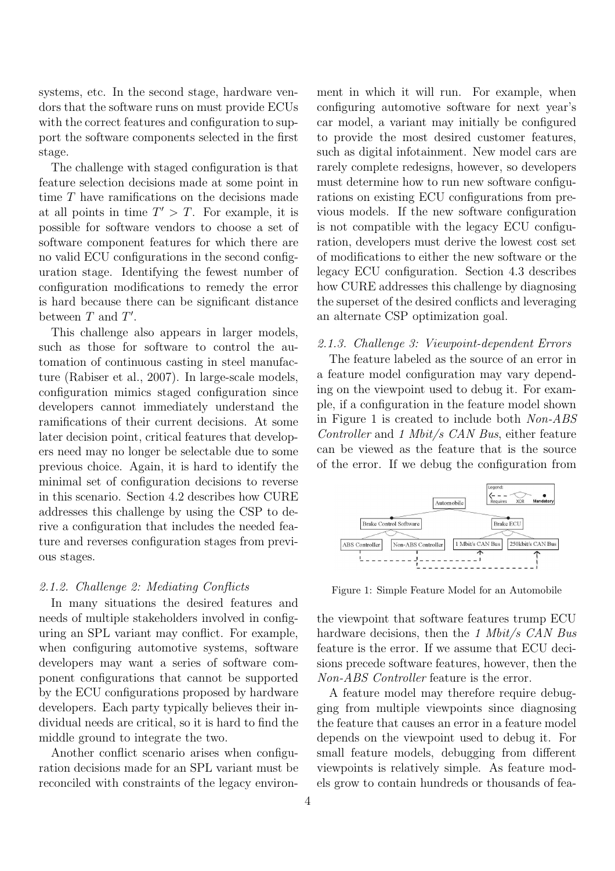systems, etc. In the second stage, hardware vendors that the software runs on must provide ECUs with the correct features and configuration to support the software components selected in the first stage.

The challenge with staged configuration is that feature selection decisions made at some point in time  $T$  have ramifications on the decisions made at all points in time  $T' > T$ . For example, it is possible for software vendors to choose a set of software component features for which there are no valid ECU configurations in the second configuration stage. Identifying the fewest number of configuration modifications to remedy the error is hard because there can be significant distance between  $T$  and  $T'$ .

This challenge also appears in larger models, such as those for software to control the automation of continuous casting in steel manufacture (Rabiser et al., 2007). In large-scale models, configuration mimics staged configuration since developers cannot immediately understand the ramifications of their current decisions. At some later decision point, critical features that developers need may no longer be selectable due to some previous choice. Again, it is hard to identify the minimal set of configuration decisions to reverse in this scenario. Section 4.2 describes how CURE addresses this challenge by using the CSP to derive a configuration that includes the needed feature and reverses configuration stages from previous stages.

#### *2.1.2. Challenge 2: Mediating Conflicts*

In many situations the desired features and needs of multiple stakeholders involved in configuring an SPL variant may conflict. For example, when configuring automotive systems, software developers may want a series of software component configurations that cannot be supported by the ECU configurations proposed by hardware developers. Each party typically believes their individual needs are critical, so it is hard to find the middle ground to integrate the two.

Another conflict scenario arises when configuration decisions made for an SPL variant must be reconciled with constraints of the legacy environment in which it will run. For example, when configuring automotive software for next year's car model, a variant may initially be configured to provide the most desired customer features, such as digital infotainment. New model cars are rarely complete redesigns, however, so developers must determine how to run new software configurations on existing ECU configurations from previous models. If the new software configuration is not compatible with the legacy ECU configuration, developers must derive the lowest cost set of modifications to either the new software or the legacy ECU configuration. Section 4.3 describes how CURE addresses this challenge by diagnosing the superset of the desired conflicts and leveraging an alternate CSP optimization goal.

#### *2.1.3. Challenge 3: Viewpoint-dependent Errors*

The feature labeled as the source of an error in a feature model configuration may vary depending on the viewpoint used to debug it. For example, if a configuration in the feature model shown in Figure 1 is created to include both *Non-ABS Controller* and *1 Mbit/s CAN Bus*, either feature can be viewed as the feature that is the source of the error. If we debug the configuration from



Figure 1: Simple Feature Model for an Automobile

the viewpoint that software features trump ECU hardware decisions, then the *1 Mbit/s CAN Bus* feature is the error. If we assume that ECU decisions precede software features, however, then the *Non-ABS Controller* feature is the error.

A feature model may therefore require debugging from multiple viewpoints since diagnosing the feature that causes an error in a feature model depends on the viewpoint used to debug it. For small feature models, debugging from different viewpoints is relatively simple. As feature models grow to contain hundreds or thousands of fea-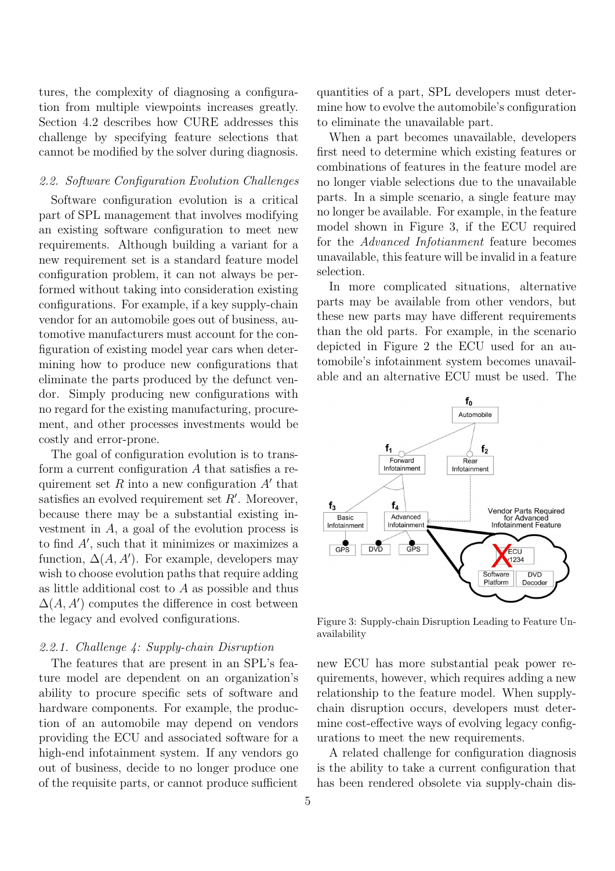tures, the complexity of diagnosing a configuration from multiple viewpoints increases greatly. Section 4.2 describes how CURE addresses this challenge by specifying feature selections that cannot be modified by the solver during diagnosis.

### *2.2. Software Configuration Evolution Challenges*

Software configuration evolution is a critical part of SPL management that involves modifying an existing software configuration to meet new requirements. Although building a variant for a new requirement set is a standard feature model configuration problem, it can not always be performed without taking into consideration existing configurations. For example, if a key supply-chain vendor for an automobile goes out of business, automotive manufacturers must account for the configuration of existing model year cars when determining how to produce new configurations that eliminate the parts produced by the defunct vendor. Simply producing new configurations with no regard for the existing manufacturing, procurement, and other processes investments would be costly and error-prone.

The goal of configuration evolution is to transform a current configuration A that satisfies a requirement set R into a new configuration  $A'$  that satisfies an evolved requirement set  $R'$ . Moreover, because there may be a substantial existing investment in A, a goal of the evolution process is to find  $A'$ , such that it minimizes or maximizes a function,  $\Delta(A, A')$ . For example, developers may wish to choose evolution paths that require adding as little additional cost to  $A$  as possible and thus  $\Delta(A, A')$  computes the difference in cost between the legacy and evolved configurations.

### *2.2.1. Challenge 4: Supply-chain Disruption*

The features that are present in an SPL's feature model are dependent on an organization's ability to procure specific sets of software and hardware components. For example, the production of an automobile may depend on vendors providing the ECU and associated software for a high-end infotainment system. If any vendors go out of business, decide to no longer produce one of the requisite parts, or cannot produce sufficient

quantities of a part, SPL developers must determine how to evolve the automobile's configuration to eliminate the unavailable part.

When a part becomes unavailable, developers first need to determine which existing features or combinations of features in the feature model are no longer viable selections due to the unavailable parts. In a simple scenario, a single feature may no longer be available. For example, in the feature model shown in Figure 3, if the ECU required for the *Advanced Infotianment* feature becomes unavailable, this feature will be invalid in a feature selection.

In more complicated situations, alternative parts may be available from other vendors, but these new parts may have different requirements than the old parts. For example, in the scenario depicted in Figure 2 the ECU used for an automobile's infotainment system becomes unavailable and an alternative ECU must be used. The



Figure 3: Supply-chain Disruption Leading to Feature Unavailability

new ECU has more substantial peak power requirements, however, which requires adding a new relationship to the feature model. When supplychain disruption occurs, developers must determine cost-effective ways of evolving legacy configurations to meet the new requirements.

A related challenge for configuration diagnosis is the ability to take a current configuration that has been rendered obsolete via supply-chain dis-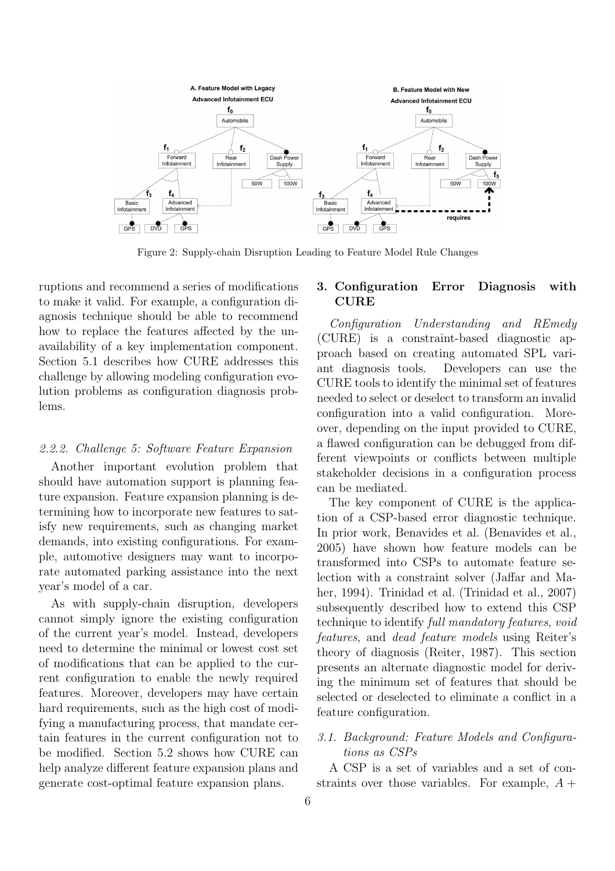

Figure 2: Supply-chain Disruption Leading to Feature Model Rule Changes

ruptions and recommend a series of modifications to make it valid. For example, a configuration diagnosis technique should be able to recommend how to replace the features affected by the unavailability of a key implementation component. Section 5.1 describes how CURE addresses this challenge by allowing modeling configuration evolution problems as configuration diagnosis problems.

#### *2.2.2. Challenge 5: Software Feature Expansion*

Another important evolution problem that should have automation support is planning feature expansion. Feature expansion planning is determining how to incorporate new features to satisfy new requirements, such as changing market demands, into existing configurations. For example, automotive designers may want to incorporate automated parking assistance into the next year's model of a car.

As with supply-chain disruption, developers cannot simply ignore the existing configuration of the current year's model. Instead, developers need to determine the minimal or lowest cost set of modifications that can be applied to the current configuration to enable the newly required features. Moreover, developers may have certain hard requirements, such as the high cost of modifying a manufacturing process, that mandate certain features in the current configuration not to be modified. Section 5.2 shows how CURE can help analyze different feature expansion plans and generate cost-optimal feature expansion plans.

# 3. Configuration Error Diagnosis with CURE

*Configuration Understanding and REmedy* (CURE) is a constraint-based diagnostic approach based on creating automated SPL variant diagnosis tools. Developers can use the CURE tools to identify the minimal set of features needed to select or deselect to transform an invalid configuration into a valid configuration. Moreover, depending on the input provided to CURE, a flawed configuration can be debugged from different viewpoints or conflicts between multiple stakeholder decisions in a configuration process can be mediated.

The key component of CURE is the application of a CSP-based error diagnostic technique. In prior work, Benavides et al. (Benavides et al., 2005) have shown how feature models can be transformed into CSPs to automate feature selection with a constraint solver (Jaffar and Maher, 1994). Trinidad et al. (Trinidad et al., 2007) subsequently described how to extend this CSP technique to identify *full mandatory features*, *void features*, and *dead feature models* using Reiter's theory of diagnosis (Reiter, 1987). This section presents an alternate diagnostic model for deriving the minimum set of features that should be selected or deselected to eliminate a conflict in a feature configuration.

# *3.1. Background: Feature Models and Configurations as CSPs*

A CSP is a set of variables and a set of constraints over those variables. For example,  $A +$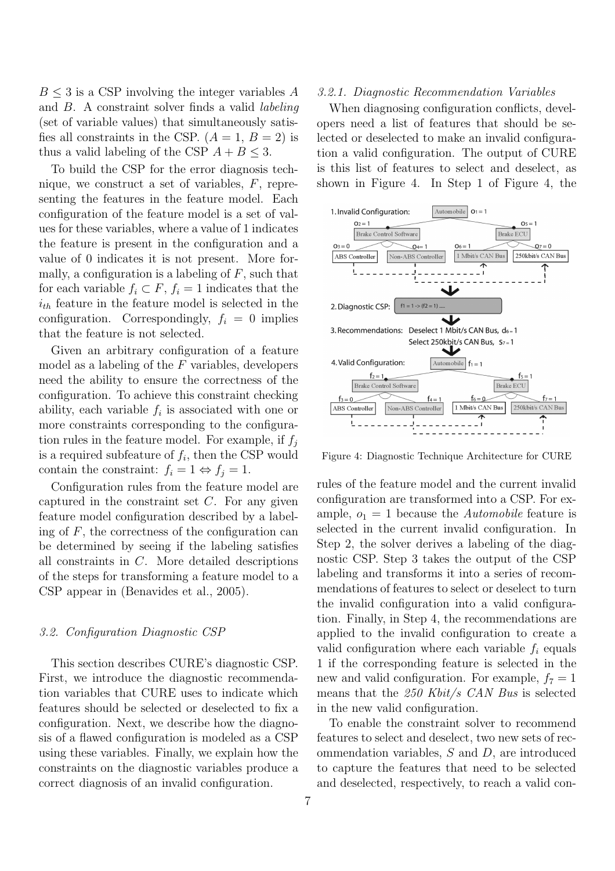$B \leq 3$  is a CSP involving the integer variables A and B. A constraint solver finds a valid *labeling* (set of variable values) that simultaneously satisfies all constraints in the CSP.  $(A = 1, B = 2)$  is thus a valid labeling of the CSP  $A + B \leq 3$ .

To build the CSP for the error diagnosis technique, we construct a set of variables, F, representing the features in the feature model. Each configuration of the feature model is a set of values for these variables, where a value of 1 indicates the feature is present in the configuration and a value of 0 indicates it is not present. More formally, a configuration is a labeling of  $F$ , such that for each variable  $f_i \subset F$ ,  $f_i = 1$  indicates that the  $i_{th}$  feature in the feature model is selected in the configuration. Correspondingly,  $f_i = 0$  implies that the feature is not selected.

Given an arbitrary configuration of a feature model as a labeling of the  $F$  variables, developers need the ability to ensure the correctness of the configuration. To achieve this constraint checking ability, each variable  $f_i$  is associated with one or more constraints corresponding to the configuration rules in the feature model. For example, if  $f_i$ is a required subfeature of  $f_i$ , then the CSP would contain the constraint:  $f_i = 1 \Leftrightarrow f_j = 1$ .

Configuration rules from the feature model are captured in the constraint set  $C$ . For any given feature model configuration described by a labeling of  $F$ , the correctness of the configuration can be determined by seeing if the labeling satisfies all constraints in C. More detailed descriptions of the steps for transforming a feature model to a CSP appear in (Benavides et al., 2005).

#### *3.2. Configuration Diagnostic CSP*

This section describes CURE's diagnostic CSP. First, we introduce the diagnostic recommendation variables that CURE uses to indicate which features should be selected or deselected to fix a configuration. Next, we describe how the diagnosis of a flawed configuration is modeled as a CSP using these variables. Finally, we explain how the constraints on the diagnostic variables produce a correct diagnosis of an invalid configuration.

#### *3.2.1. Diagnostic Recommendation Variables*

When diagnosing configuration conflicts, developers need a list of features that should be selected or deselected to make an invalid configuration a valid configuration. The output of CURE is this list of features to select and deselect, as shown in Figure 4. In Step 1 of Figure 4, the



Figure 4: Diagnostic Technique Architecture for CURE

rules of the feature model and the current invalid configuration are transformed into a CSP. For example,  $o_1 = 1$  because the *Automobile* feature is selected in the current invalid configuration. In Step 2, the solver derives a labeling of the diagnostic CSP. Step 3 takes the output of the CSP labeling and transforms it into a series of recommendations of features to select or deselect to turn the invalid configuration into a valid configuration. Finally, in Step 4, the recommendations are applied to the invalid configuration to create a valid configuration where each variable  $f_i$  equals 1 if the corresponding feature is selected in the new and valid configuration. For example,  $f_7 = 1$ means that the *250 Kbit/s CAN Bus* is selected in the new valid configuration.

To enable the constraint solver to recommend features to select and deselect, two new sets of recommendation variables, S and D, are introduced to capture the features that need to be selected and deselected, respectively, to reach a valid con-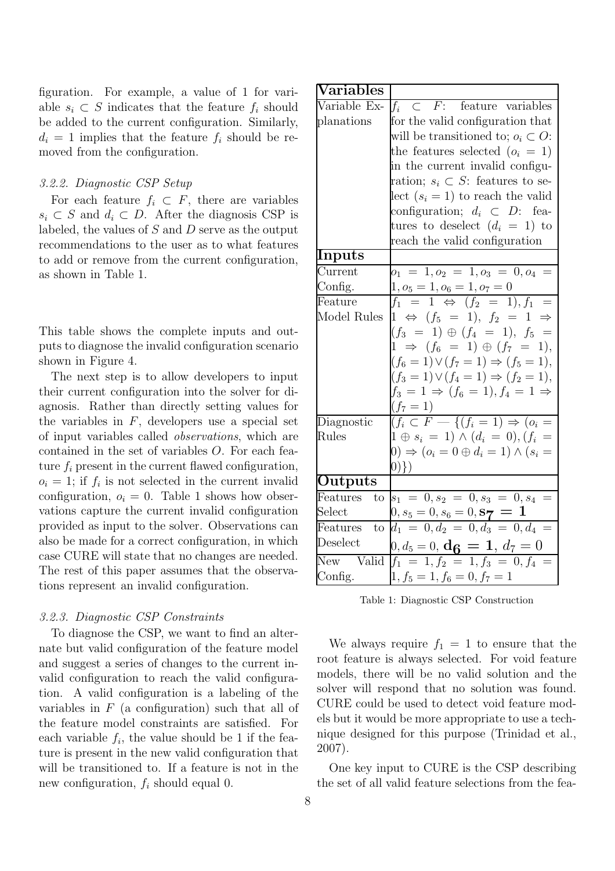figuration. For example, a value of 1 for variable  $s_i \subset S$  indicates that the feature  $f_i$  should be added to the current configuration. Similarly,  $d_i = 1$  implies that the feature  $f_i$  should be removed from the configuration.

### *3.2.2. Diagnostic CSP Setup*

For each feature  $f_i \subset F$ , there are variables  $s_i \subset S$  and  $d_i \subset D$ . After the diagnosis CSP is labeled, the values of  $S$  and  $D$  serve as the output recommendations to the user as to what features to add or remove from the current configuration, as shown in Table 1.

This table shows the complete inputs and outputs to diagnose the invalid configuration scenario shown in Figure 4.

The next step is to allow developers to input their current configuration into the solver for diagnosis. Rather than directly setting values for the variables in  $F$ , developers use a special set of input variables called *observations*, which are contained in the set of variables O. For each feature  $f_i$  present in the current flawed configuration,  $o_i = 1$ ; if  $f_i$  is not selected in the current invalid configuration,  $o_i = 0$ . Table 1 shows how observations capture the current invalid configuration provided as input to the solver. Observations can also be made for a correct configuration, in which case CURE will state that no changes are needed. The rest of this paper assumes that the observations represent an invalid configuration.

### *3.2.3. Diagnostic CSP Constraints*

To diagnose the CSP, we want to find an alternate but valid configuration of the feature model and suggest a series of changes to the current invalid configuration to reach the valid configuration. A valid configuration is a labeling of the variables in  $F$  (a configuration) such that all of the feature model constraints are satisfied. For each variable  $f_i$ , the value should be 1 if the feature is present in the new valid configuration that will be transitioned to. If a feature is not in the new configuration,  $f_i$  should equal 0.

| Nariables               |                                                                   |
|-------------------------|-------------------------------------------------------------------|
| Variable Ex-            | $f_i \subset F$ : feature variables                               |
| planations              | for the valid configuration that                                  |
|                         | will be transitioned to; $o_i \subset O$ :                        |
|                         | the features selected $(o_i = 1)$                                 |
|                         | in the current invalid configu-                                   |
|                         | ration; $s_i \subset S$ : features to se-                         |
|                         | $\text{lect } (s_i = 1)$ to reach the valid                       |
|                         | configuration; $d_i \subset D$ : fea-                             |
|                         | tures to deselect $(d_i = 1)$ to                                  |
|                         | reach the valid configuration                                     |
| Inputs                  |                                                                   |
| $\bar{\text{Current}}$  | $o_1 = 1, o_2 = 1, o_3 = 0, o_4$<br>$\equiv$                      |
| Config.                 | $1, o_5 = 1, o_6 = 1, o_7 = 0$                                    |
| Feature                 | $f_1 = 1 \Leftrightarrow (f_2 = 1), f_1$                          |
| Model Rules             | $1 \Leftrightarrow (f_5 = 1), f_2 = 1$                            |
|                         | $(f_3 = 1) \oplus (f_4 = 1), f_5 =$                               |
|                         | $1 \Rightarrow (f_6 = 1) \oplus (f_7 = 1),$                       |
|                         | $(f_6 = 1) \vee (f_7 = 1) \Rightarrow (f_5 = 1),$                 |
|                         | $(f_3 = 1) \vee (f_4 = 1) \Rightarrow (f_2 = 1),$                 |
|                         | $f_3 = 1 \Rightarrow (f_6 = 1), f_4 = 1 \Rightarrow$<br>$(f_7=1)$ |
| Diagnostic              | $\frac{1}{(f_i \subset F - \{(f_i = 1) \Rightarrow (o_i =$        |
| <b>Rules</b>            | $1 \oplus s_i = 1) \wedge (d_i = 0), (f_i =$                      |
|                         | $(0) \Rightarrow (o_i = 0 \oplus d_i = 1) \wedge (s_i =$          |
|                         | $0)\})$                                                           |
| Outputs                 |                                                                   |
| Features<br>to          | $s_1 = 0, s_2 = 0, s_3 = 0, s_4 =$                                |
| $\operatorname{Select}$ | $0,s_5=0,s_6=0,{\bf s} \boldsymbol{\gamma} \boldsymbol{1}$        |
| Features<br>to          | $d_1 = 0, d_2 = 0, d_3 = 0, d_4 =$                                |
| Deselect                | $0, d_5 = \underline{0}, \mathbf{d_6} = \mathbf{1}, d_7 = 0$      |
| New Valid               | $f_1 = 1, f_2 = 1, f_3 = 0, f_4 =$                                |
| Config.                 | $1, f_5 = 1, f_6 = 0, f_7 = 1$                                    |

Table 1: Diagnostic CSP Construction

We always require  $f_1 = 1$  to ensure that the root feature is always selected. For void feature models, there will be no valid solution and the solver will respond that no solution was found. CURE could be used to detect void feature models but it would be more appropriate to use a technique designed for this purpose (Trinidad et al., 2007).

One key input to CURE is the CSP describing the set of all valid feature selections from the fea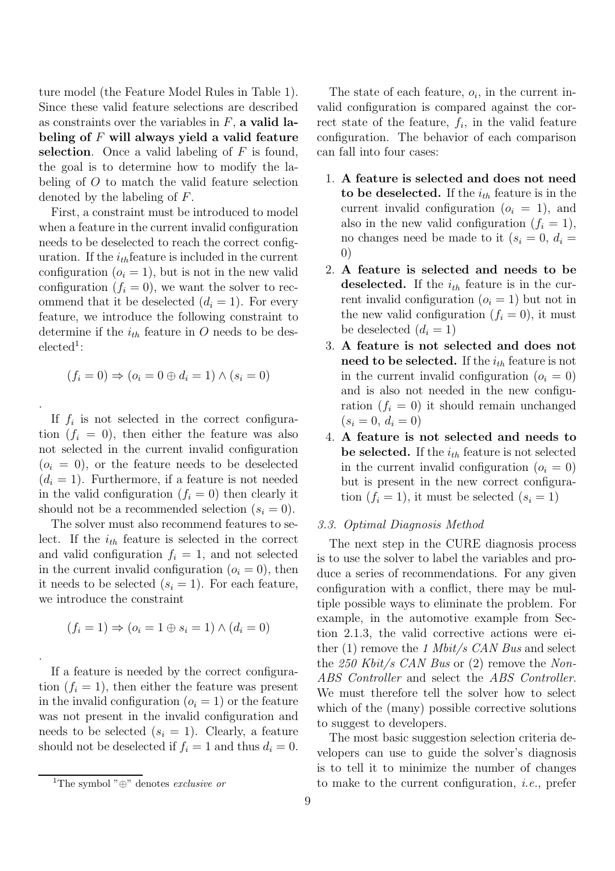ture model (the Feature Model Rules in Table 1). Since these valid feature selections are described as constraints over the variables in  $F$ , a valid labeling of  $F$  will always yield a valid feature selection. Once a valid labeling of  $F$  is found, the goal is to determine how to modify the labeling of O to match the valid feature selection denoted by the labeling of F.

First, a constraint must be introduced to model when a feature in the current invalid configuration needs to be deselected to reach the correct configuration. If the  $i_{th}$  feature is included in the current configuration  $(o<sub>i</sub> = 1)$ , but is not in the new valid configuration  $(f_i = 0)$ , we want the solver to recommend that it be deselected  $(d_i = 1)$ . For every feature, we introduce the following constraint to determine if the  $i_{th}$  feature in O needs to be des $e$ lected<sup>1</sup>:

$$
(f_i = 0) \Rightarrow (o_i = 0 \oplus d_i = 1) \land (s_i = 0)
$$

.

.

If  $f_i$  is not selected in the correct configuration  $(f_i = 0)$ , then either the feature was also not selected in the current invalid configuration  $(o<sub>i</sub> = 0)$ , or the feature needs to be deselected  $(d_i = 1)$ . Furthermore, if a feature is not needed in the valid configuration  $(f_i = 0)$  then clearly it should not be a recommended selection  $(s_i = 0)$ .

The solver must also recommend features to select. If the  $i_{th}$  feature is selected in the correct and valid configuration  $f_i = 1$ , and not selected in the current invalid configuration  $(o_i = 0)$ , then it needs to be selected  $(s<sub>i</sub> = 1)$ . For each feature, we introduce the constraint

$$
(f_i = 1) \Rightarrow (o_i = 1 \oplus s_i = 1) \land (d_i = 0)
$$

If a feature is needed by the correct configuration  $(f_i = 1)$ , then either the feature was present in the invalid configuration  $(o<sub>i</sub> = 1)$  or the feature was not present in the invalid configuration and needs to be selected  $(s_i = 1)$ . Clearly, a feature should not be deselected if  $f_i = 1$  and thus  $d_i = 0$ .

The state of each feature,  $o_i$ , in the current invalid configuration is compared against the correct state of the feature,  $f_i$ , in the valid feature configuration. The behavior of each comparison can fall into four cases:

- 1. A feature is selected and does not need to be deselected. If the  $i_{th}$  feature is in the current invalid configuration  $(o_i = 1)$ , and also in the new valid configuration  $(f_i = 1)$ , no changes need be made to it  $(s_i = 0, d_i =$ 0)
- 2. A feature is selected and needs to be deselected. If the  $i_{th}$  feature is in the current invalid configuration  $(o_i = 1)$  but not in the new valid configuration  $(f_i = 0)$ , it must be deselected  $(d_i = 1)$
- 3. A feature is not selected and does not need to be selected. If the  $i_{th}$  feature is not in the current invalid configuration  $(o_i = 0)$ and is also not needed in the new configuration  $(f_i = 0)$  it should remain unchanged  $(s_i = 0, d_i = 0)$
- 4. A feature is not selected and needs to be selected. If the  $i_{th}$  feature is not selected in the current invalid configuration  $(o_i = 0)$ but is present in the new correct configuration  $(f_i = 1)$ , it must be selected  $(s_i = 1)$

#### *3.3. Optimal Diagnosis Method*

The next step in the CURE diagnosis process is to use the solver to label the variables and produce a series of recommendations. For any given configuration with a conflict, there may be multiple possible ways to eliminate the problem. For example, in the automotive example from Section 2.1.3, the valid corrective actions were either (1) remove the *1 Mbit/s CAN Bus* and select the *250 Kbit/s CAN Bus* or (2) remove the *Non-ABS Controller* and select the *ABS Controller*. We must therefore tell the solver how to select which of the (many) possible corrective solutions to suggest to developers.

The most basic suggestion selection criteria developers can use to guide the solver's diagnosis is to tell it to minimize the number of changes to make to the current configuration, *i.e.*, prefer

<sup>1</sup>The symbol "⊕" denotes *exclusive or*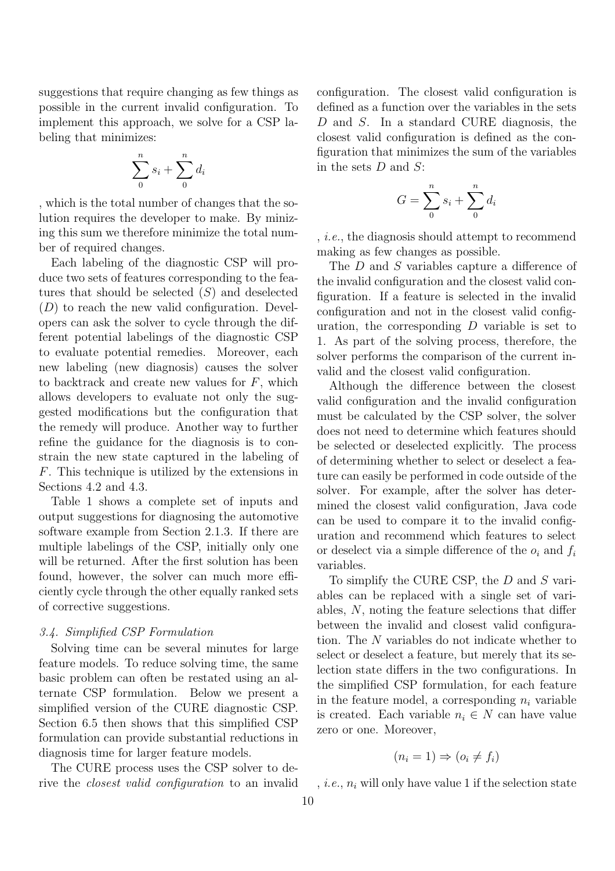suggestions that require changing as few things as possible in the current invalid configuration. To implement this approach, we solve for a CSP labeling that minimizes:

$$
\sum_0^n s_i + \sum_0^n d_i
$$

, which is the total number of changes that the solution requires the developer to make. By minizing this sum we therefore minimize the total number of required changes.

Each labeling of the diagnostic CSP will produce two sets of features corresponding to the features that should be selected  $(S)$  and deselected  $(D)$  to reach the new valid configuration. Developers can ask the solver to cycle through the different potential labelings of the diagnostic CSP to evaluate potential remedies. Moreover, each new labeling (new diagnosis) causes the solver to backtrack and create new values for  $F$ , which allows developers to evaluate not only the suggested modifications but the configuration that the remedy will produce. Another way to further refine the guidance for the diagnosis is to constrain the new state captured in the labeling of F. This technique is utilized by the extensions in Sections 4.2 and 4.3.

Table 1 shows a complete set of inputs and output suggestions for diagnosing the automotive software example from Section 2.1.3. If there are multiple labelings of the CSP, initially only one will be returned. After the first solution has been found, however, the solver can much more efficiently cycle through the other equally ranked sets of corrective suggestions.

### *3.4. Simplified CSP Formulation*

Solving time can be several minutes for large feature models. To reduce solving time, the same basic problem can often be restated using an alternate CSP formulation. Below we present a simplified version of the CURE diagnostic CSP. Section 6.5 then shows that this simplified CSP formulation can provide substantial reductions in diagnosis time for larger feature models.

The CURE process uses the CSP solver to derive the *closest valid configuration* to an invalid configuration. The closest valid configuration is defined as a function over the variables in the sets D and S. In a standard CURE diagnosis, the closest valid configuration is defined as the configuration that minimizes the sum of the variables in the sets  $D$  and  $S$ :

$$
G = \sum_{0}^{n} s_i + \sum_{0}^{n} d_i
$$

, *i.e.*, the diagnosis should attempt to recommend making as few changes as possible.

The D and S variables capture a difference of the invalid configuration and the closest valid configuration. If a feature is selected in the invalid configuration and not in the closest valid configuration, the corresponding  $D$  variable is set to 1. As part of the solving process, therefore, the solver performs the comparison of the current invalid and the closest valid configuration.

Although the difference between the closest valid configuration and the invalid configuration must be calculated by the CSP solver, the solver does not need to determine which features should be selected or deselected explicitly. The process of determining whether to select or deselect a feature can easily be performed in code outside of the solver. For example, after the solver has determined the closest valid configuration, Java code can be used to compare it to the invalid configuration and recommend which features to select or deselect via a simple difference of the  $o_i$  and  $f_i$ variables.

To simplify the CURE CSP, the D and S variables can be replaced with a single set of variables, N, noting the feature selections that differ between the invalid and closest valid configuration. The N variables do not indicate whether to select or deselect a feature, but merely that its selection state differs in the two configurations. In the simplified CSP formulation, for each feature in the feature model, a corresponding  $n_i$  variable is created. Each variable  $n_i \in N$  can have value zero or one. Moreover,

$$
(n_i = 1) \Rightarrow (o_i \neq f_i)
$$

, *i.e.*,  $n_i$  will only have value 1 if the selection state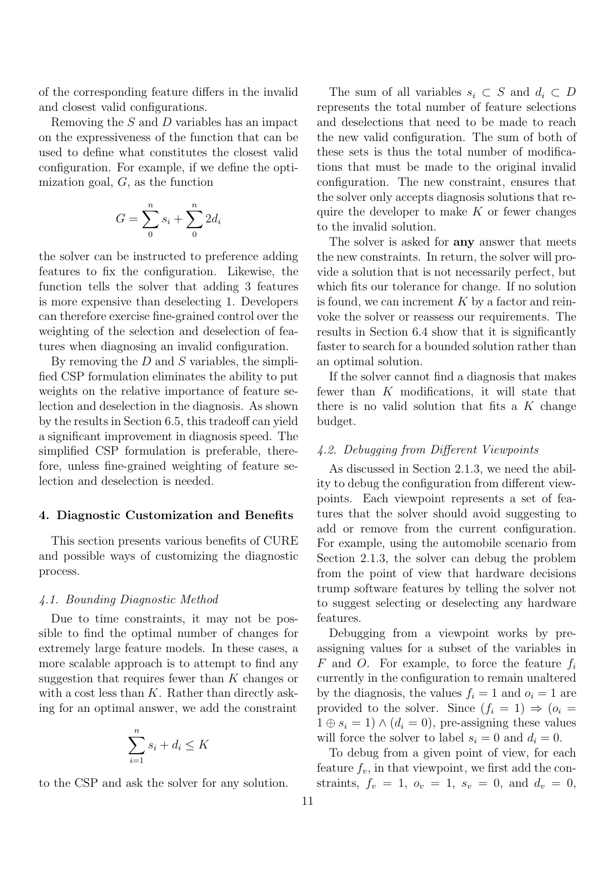of the corresponding feature differs in the invalid and closest valid configurations.

Removing the  $S$  and  $D$  variables has an impact on the expressiveness of the function that can be used to define what constitutes the closest valid configuration. For example, if we define the optimization goal,  $G$ , as the function

$$
G = \sum_{0}^{n} s_i + \sum_{0}^{n} 2d_i
$$

the solver can be instructed to preference adding features to fix the configuration. Likewise, the function tells the solver that adding 3 features is more expensive than deselecting 1. Developers can therefore exercise fine-grained control over the weighting of the selection and deselection of features when diagnosing an invalid configuration.

By removing the  $D$  and  $S$  variables, the simplified CSP formulation eliminates the ability to put weights on the relative importance of feature selection and deselection in the diagnosis. As shown by the results in Section 6.5, this tradeoff can yield a significant improvement in diagnosis speed. The simplified CSP formulation is preferable, therefore, unless fine-grained weighting of feature selection and deselection is needed.

#### 4. Diagnostic Customization and Benefits

This section presents various benefits of CURE and possible ways of customizing the diagnostic process.

#### *4.1. Bounding Diagnostic Method*

Due to time constraints, it may not be possible to find the optimal number of changes for extremely large feature models. In these cases, a more scalable approach is to attempt to find any suggestion that requires fewer than  $K$  changes or with a cost less than  $K$ . Rather than directly asking for an optimal answer, we add the constraint

$$
\sum_{i=1}^{n} s_i + d_i \le K
$$

to the CSP and ask the solver for any solution.

The sum of all variables  $s_i \subset S$  and  $d_i \subset D$ represents the total number of feature selections and deselections that need to be made to reach the new valid configuration. The sum of both of these sets is thus the total number of modifications that must be made to the original invalid configuration. The new constraint, ensures that the solver only accepts diagnosis solutions that require the developer to make  $K$  or fewer changes to the invalid solution.

The solver is asked for **any** answer that meets the new constraints. In return, the solver will provide a solution that is not necessarily perfect, but which fits our tolerance for change. If no solution is found, we can increment  $K$  by a factor and reinvoke the solver or reassess our requirements. The results in Section 6.4 show that it is significantly faster to search for a bounded solution rather than an optimal solution.

If the solver cannot find a diagnosis that makes fewer than K modifications, it will state that there is no valid solution that fits a  $K$  change budget.

#### *4.2. Debugging from Different Viewpoints*

As discussed in Section 2.1.3, we need the ability to debug the configuration from different viewpoints. Each viewpoint represents a set of features that the solver should avoid suggesting to add or remove from the current configuration. For example, using the automobile scenario from Section 2.1.3, the solver can debug the problem from the point of view that hardware decisions trump software features by telling the solver not to suggest selecting or deselecting any hardware features.

Debugging from a viewpoint works by preassigning values for a subset of the variables in F and O. For example, to force the feature  $f_i$ currently in the configuration to remain unaltered by the diagnosis, the values  $f_i = 1$  and  $o_i = 1$  are provided to the solver. Since  $(f_i = 1) \Rightarrow (o_i =$  $1 \oplus s_i = 1$ )  $\wedge (d_i = 0)$ , pre-assigning these values will force the solver to label  $s_i = 0$  and  $d_i = 0$ .

To debug from a given point of view, for each feature  $f_v$ , in that viewpoint, we first add the constraints,  $f_v = 1$ ,  $o_v = 1$ ,  $s_v = 0$ , and  $d_v = 0$ ,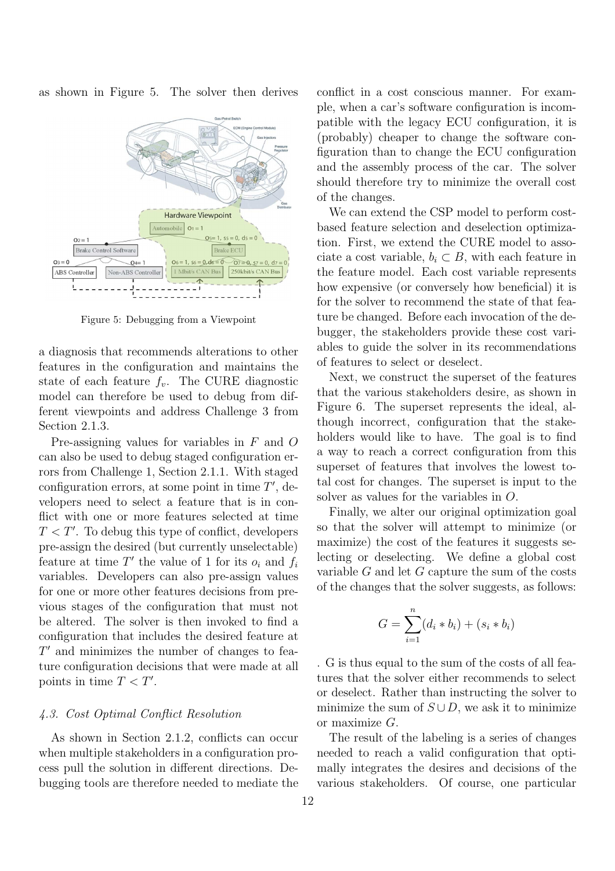as shown in Figure 5. The solver then derives



Figure 5: Debugging from a Viewpoint

a diagnosis that recommends alterations to other features in the configuration and maintains the state of each feature  $f_v$ . The CURE diagnostic model can therefore be used to debug from different viewpoints and address Challenge 3 from Section 2.1.3.

Pre-assigning values for variables in F and O can also be used to debug staged configuration errors from Challenge 1, Section 2.1.1. With staged configuration errors, at some point in time  $T'$ , developers need to select a feature that is in conflict with one or more features selected at time  $T < T'$ . To debug this type of conflict, developers pre-assign the desired (but currently unselectable) feature at time  $T'$  the value of 1 for its  $o_i$  and  $f_i$ variables. Developers can also pre-assign values for one or more other features decisions from previous stages of the configuration that must not be altered. The solver is then invoked to find a configuration that includes the desired feature at  $T'$  and minimizes the number of changes to feature configuration decisions that were made at all points in time  $T < T'$ .

#### *4.3. Cost Optimal Conflict Resolution*

As shown in Section 2.1.2, conflicts can occur when multiple stakeholders in a configuration process pull the solution in different directions. Debugging tools are therefore needed to mediate the conflict in a cost conscious manner. For example, when a car's software configuration is incompatible with the legacy ECU configuration, it is (probably) cheaper to change the software configuration than to change the ECU configuration and the assembly process of the car. The solver should therefore try to minimize the overall cost of the changes.

We can extend the CSP model to perform costbased feature selection and deselection optimization. First, we extend the CURE model to associate a cost variable,  $b_i \subset B$ , with each feature in the feature model. Each cost variable represents how expensive (or conversely how beneficial) it is for the solver to recommend the state of that feature be changed. Before each invocation of the debugger, the stakeholders provide these cost variables to guide the solver in its recommendations of features to select or deselect.

Next, we construct the superset of the features that the various stakeholders desire, as shown in Figure 6. The superset represents the ideal, although incorrect, configuration that the stakeholders would like to have. The goal is to find a way to reach a correct configuration from this superset of features that involves the lowest total cost for changes. The superset is input to the solver as values for the variables in O.

Finally, we alter our original optimization goal so that the solver will attempt to minimize (or maximize) the cost of the features it suggests selecting or deselecting. We define a global cost variable G and let G capture the sum of the costs of the changes that the solver suggests, as follows:

$$
G = \sum_{i=1}^{n} (d_i * b_i) + (s_i * b_i)
$$

. G is thus equal to the sum of the costs of all features that the solver either recommends to select or deselect. Rather than instructing the solver to minimize the sum of  $S \cup D$ , we ask it to minimize or maximize G.

The result of the labeling is a series of changes needed to reach a valid configuration that optimally integrates the desires and decisions of the various stakeholders. Of course, one particular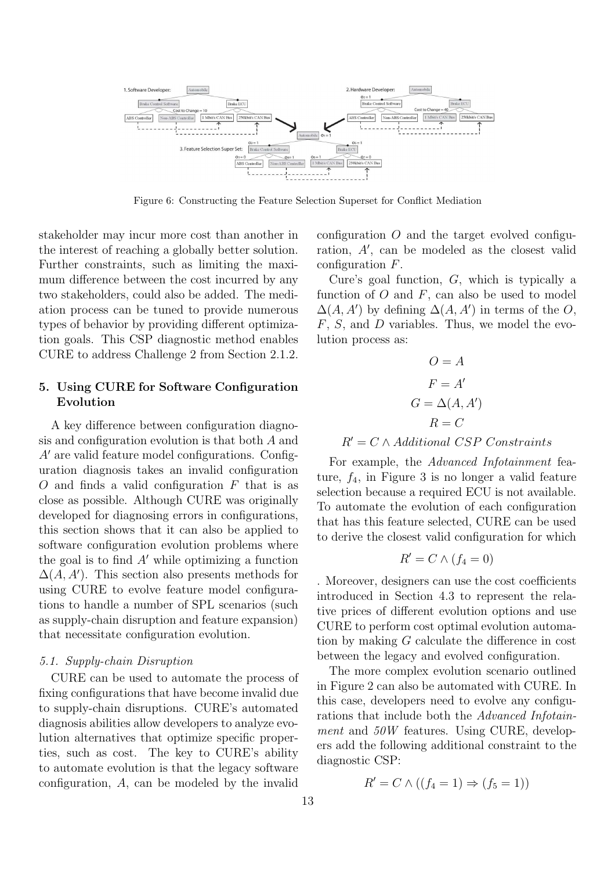

Figure 6: Constructing the Feature Selection Superset for Conflict Mediation

stakeholder may incur more cost than another in the interest of reaching a globally better solution. Further constraints, such as limiting the maximum difference between the cost incurred by any two stakeholders, could also be added. The mediation process can be tuned to provide numerous types of behavior by providing different optimization goals. This CSP diagnostic method enables CURE to address Challenge 2 from Section 2.1.2.

# 5. Using CURE for Software Configuration Evolution

A key difference between configuration diagnosis and configuration evolution is that both A and A′ are valid feature model configurations. Configuration diagnosis takes an invalid configuration  $O$  and finds a valid configuration  $F$  that is as close as possible. Although CURE was originally developed for diagnosing errors in configurations, this section shows that it can also be applied to software configuration evolution problems where the goal is to find  $A'$  while optimizing a function  $\Delta(A, A')$ . This section also presents methods for using CURE to evolve feature model configurations to handle a number of SPL scenarios (such as supply-chain disruption and feature expansion) that necessitate configuration evolution.

#### *5.1. Supply-chain Disruption*

CURE can be used to automate the process of fixing configurations that have become invalid due to supply-chain disruptions. CURE's automated diagnosis abilities allow developers to analyze evolution alternatives that optimize specific properties, such as cost. The key to CURE's ability to automate evolution is that the legacy software configuration, A, can be modeled by the invalid

configuration  $O$  and the target evolved configuration, A′ , can be modeled as the closest valid configuration F.

Cure's goal function, G, which is typically a function of  $O$  and  $F$ , can also be used to model  $\Delta(A, A')$  by defining  $\Delta(A, A')$  in terms of the O,  $F, S$ , and  $D$  variables. Thus, we model the evolution process as:

$$
O = A
$$
  
\n
$$
F = A'
$$
  
\n
$$
G = \Delta(A, A')
$$
  
\n
$$
R = C
$$

# $R' = C \wedge Additional \; CSP \; Constraints$

For example, the *Advanced Infotainment* feature,  $f_4$ , in Figure 3 is no longer a valid feature selection because a required ECU is not available. To automate the evolution of each configuration that has this feature selected, CURE can be used to derive the closest valid configuration for which

$$
R' = C \wedge (f_4 = 0)
$$

. Moreover, designers can use the cost coefficients introduced in Section 4.3 to represent the relative prices of different evolution options and use CURE to perform cost optimal evolution automation by making G calculate the difference in cost between the legacy and evolved configuration.

The more complex evolution scenario outlined in Figure 2 can also be automated with CURE. In this case, developers need to evolve any configurations that include both the *Advanced Infotainment* and *50W* features. Using CURE, developers add the following additional constraint to the diagnostic CSP:

$$
R' = C \wedge ((f_4 = 1) \Rightarrow (f_5 = 1))
$$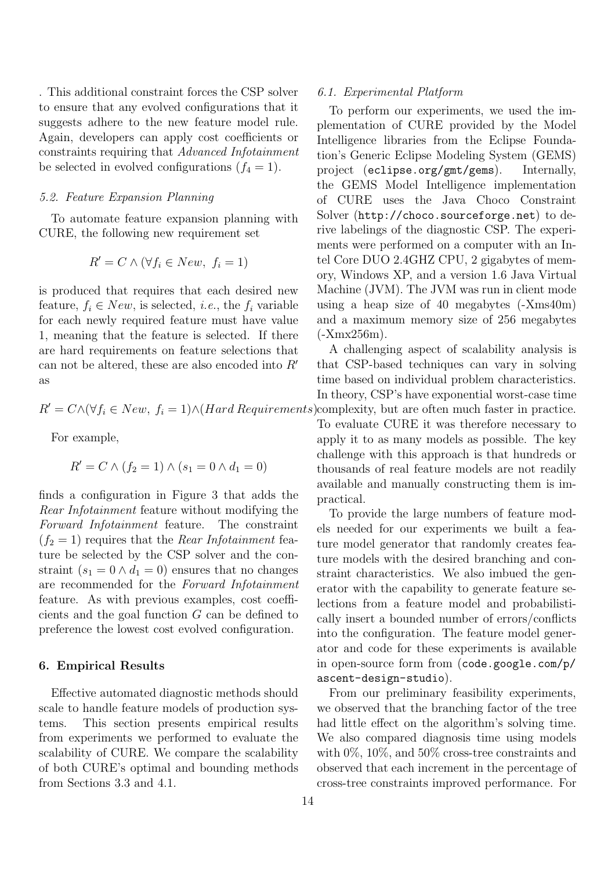. This additional constraint forces the CSP solver to ensure that any evolved configurations that it suggests adhere to the new feature model rule. Again, developers can apply cost coefficients or constraints requiring that *Advanced Infotainment* be selected in evolved configurations  $(f_4 = 1)$ .

#### *5.2. Feature Expansion Planning*

To automate feature expansion planning with CURE, the following new requirement set

$$
R' = C \wedge (\forall f_i \in New, \ f_i = 1)
$$

is produced that requires that each desired new feature,  $f_i \in New$ , is selected, *i.e.*, the  $f_i$  variable for each newly required feature must have value 1, meaning that the feature is selected. If there are hard requirements on feature selections that can not be altered, these are also encoded into R′ as

$$
R' = C \land (\forall f_i \in New, f_i = 1) \land (Hard\ Requirements)
$$

For example,

$$
R' = C \wedge (f_2 = 1) \wedge (s_1 = 0 \wedge d_1 = 0)
$$

finds a configuration in Figure 3 that adds the *Rear Infotainment* feature without modifying the *Forward Infotainment* feature. The constraint  $(f_2 = 1)$  requires that the *Rear Infotainment* feature be selected by the CSP solver and the constraint  $(s_1 = 0 \land d_1 = 0)$  ensures that no changes are recommended for the *Forward Infotainment* feature. As with previous examples, cost coefficients and the goal function G can be defined to preference the lowest cost evolved configuration.

#### 6. Empirical Results

Effective automated diagnostic methods should scale to handle feature models of production systems. This section presents empirical results from experiments we performed to evaluate the scalability of CURE. We compare the scalability of both CURE's optimal and bounding methods from Sections 3.3 and 4.1.

#### *6.1. Experimental Platform*

To perform our experiments, we used the implementation of CURE provided by the Model Intelligence libraries from the Eclipse Foundation's Generic Eclipse Modeling System (GEMS) project (eclipse.org/gmt/gems). Internally, the GEMS Model Intelligence implementation of CURE uses the Java Choco Constraint Solver (http://choco.sourceforge.net) to derive labelings of the diagnostic CSP. The experiments were performed on a computer with an Intel Core DUO 2.4GHZ CPU, 2 gigabytes of memory, Windows XP, and a version 1.6 Java Virtual Machine (JVM). The JVM was run in client mode using a heap size of 40 megabytes (-Xms40m) and a maximum memory size of 256 megabytes (-Xmx256m).

A challenging aspect of scalability analysis is that CSP-based techniques can vary in solving time based on individual problem characteristics. In theory, CSP's have exponential worst-case time complexity, but are often much faster in practice.

To evaluate CURE it was therefore necessary to apply it to as many models as possible. The key challenge with this approach is that hundreds or thousands of real feature models are not readily available and manually constructing them is impractical.

To provide the large numbers of feature models needed for our experiments we built a feature model generator that randomly creates feature models with the desired branching and constraint characteristics. We also imbued the generator with the capability to generate feature selections from a feature model and probabilistically insert a bounded number of errors/conflicts into the configuration. The feature model generator and code for these experiments is available in open-source form from (code.google.com/p/ ascent-design-studio).

From our preliminary feasibility experiments, we observed that the branching factor of the tree had little effect on the algorithm's solving time. We also compared diagnosis time using models with 0%, 10%, and 50% cross-tree constraints and observed that each increment in the percentage of cross-tree constraints improved performance. For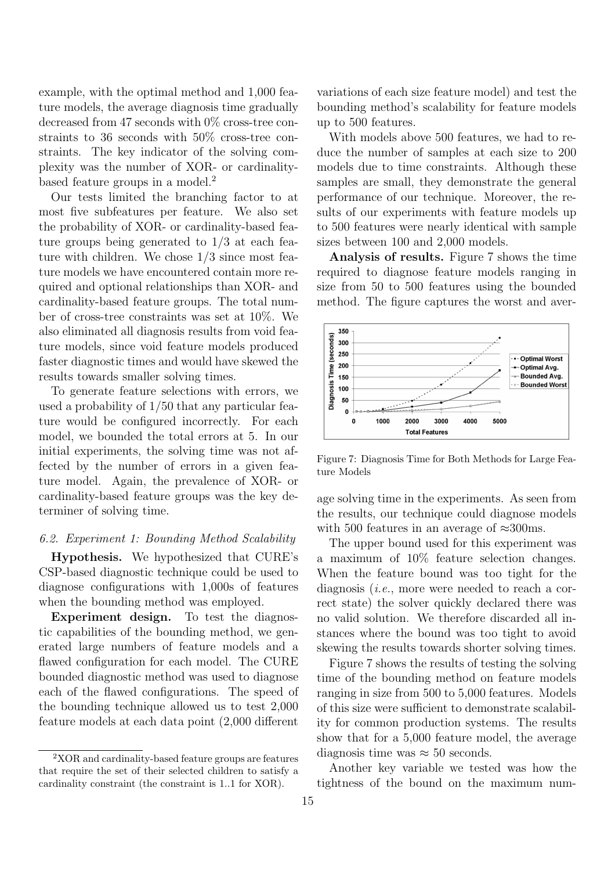example, with the optimal method and 1,000 feature models, the average diagnosis time gradually decreased from 47 seconds with 0% cross-tree constraints to 36 seconds with 50% cross-tree constraints. The key indicator of the solving complexity was the number of XOR- or cardinalitybased feature groups in a model.<sup>2</sup>

Our tests limited the branching factor to at most five subfeatures per feature. We also set the probability of XOR- or cardinality-based feature groups being generated to 1/3 at each feature with children. We chose 1/3 since most feature models we have encountered contain more required and optional relationships than XOR- and cardinality-based feature groups. The total number of cross-tree constraints was set at 10%. We also eliminated all diagnosis results from void feature models, since void feature models produced faster diagnostic times and would have skewed the results towards smaller solving times.

To generate feature selections with errors, we used a probability of 1/50 that any particular feature would be configured incorrectly. For each model, we bounded the total errors at 5. In our initial experiments, the solving time was not affected by the number of errors in a given feature model. Again, the prevalence of XOR- or cardinality-based feature groups was the key determiner of solving time.

### *6.2. Experiment 1: Bounding Method Scalability*

Hypothesis. We hypothesized that CURE's CSP-based diagnostic technique could be used to diagnose configurations with 1,000s of features when the bounding method was employed.

Experiment design. To test the diagnostic capabilities of the bounding method, we generated large numbers of feature models and a flawed configuration for each model. The CURE bounded diagnostic method was used to diagnose each of the flawed configurations. The speed of the bounding technique allowed us to test 2,000 feature models at each data point (2,000 different

variations of each size feature model) and test the bounding method's scalability for feature models up to 500 features.

With models above 500 features, we had to reduce the number of samples at each size to 200 models due to time constraints. Although these samples are small, they demonstrate the general performance of our technique. Moreover, the results of our experiments with feature models up to 500 features were nearly identical with sample sizes between 100 and 2,000 models.

Analysis of results. Figure 7 shows the time required to diagnose feature models ranging in size from 50 to 500 features using the bounded method. The figure captures the worst and aver-



Figure 7: Diagnosis Time for Both Methods for Large Feature Models

age solving time in the experiments. As seen from the results, our technique could diagnose models with 500 features in an average of  $\approx 300$ ms.

The upper bound used for this experiment was a maximum of 10% feature selection changes. When the feature bound was too tight for the diagnosis (*i.e.*, more were needed to reach a correct state) the solver quickly declared there was no valid solution. We therefore discarded all instances where the bound was too tight to avoid skewing the results towards shorter solving times.

Figure 7 shows the results of testing the solving time of the bounding method on feature models ranging in size from 500 to 5,000 features. Models of this size were sufficient to demonstrate scalability for common production systems. The results show that for a 5,000 feature model, the average diagnosis time was  $\approx 50$  seconds.

Another key variable we tested was how the tightness of the bound on the maximum num-

<sup>2</sup>XOR and cardinality-based feature groups are features that require the set of their selected children to satisfy a cardinality constraint (the constraint is 1..1 for XOR).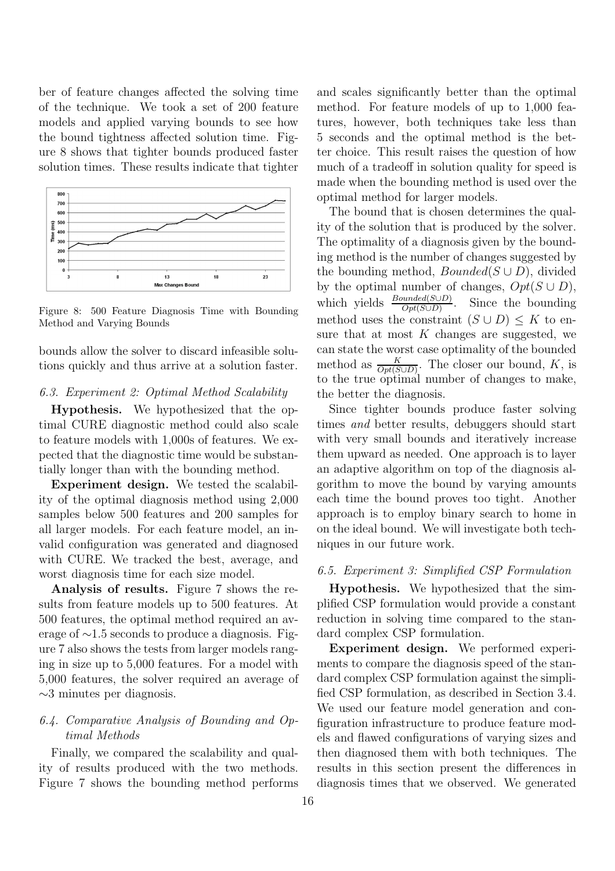ber of feature changes affected the solving time of the technique. We took a set of 200 feature models and applied varying bounds to see how the bound tightness affected solution time. Figure 8 shows that tighter bounds produced faster solution times. These results indicate that tighter



Figure 8: 500 Feature Diagnosis Time with Bounding Method and Varying Bounds

bounds allow the solver to discard infeasible solutions quickly and thus arrive at a solution faster.

# *6.3. Experiment 2: Optimal Method Scalability*

Hypothesis. We hypothesized that the optimal CURE diagnostic method could also scale to feature models with 1,000s of features. We expected that the diagnostic time would be substantially longer than with the bounding method.

Experiment design. We tested the scalability of the optimal diagnosis method using 2,000 samples below 500 features and 200 samples for all larger models. For each feature model, an invalid configuration was generated and diagnosed with CURE. We tracked the best, average, and worst diagnosis time for each size model.

Analysis of results. Figure 7 shows the results from feature models up to 500 features. At 500 features, the optimal method required an average of ∼1.5 seconds to produce a diagnosis. Figure 7 also shows the tests from larger models ranging in size up to 5,000 features. For a model with 5,000 features, the solver required an average of  $\sim$ 3 minutes per diagnosis.

# *6.4. Comparative Analysis of Bounding and Optimal Methods*

Finally, we compared the scalability and quality of results produced with the two methods. Figure 7 shows the bounding method performs

and scales significantly better than the optimal method. For feature models of up to 1,000 features, however, both techniques take less than 5 seconds and the optimal method is the better choice. This result raises the question of how much of a tradeoff in solution quality for speed is made when the bounding method is used over the optimal method for larger models.

The bound that is chosen determines the quality of the solution that is produced by the solver. The optimality of a diagnosis given by the bounding method is the number of changes suggested by the bounding method,  $Bounded(S \cup D)$ , divided by the optimal number of changes,  $Opt(S \cup D)$ , which yields  $\frac{Bounded(S \cup D)}{Opt(S \cup D)}$ . Since the bounding method uses the constraint  $(S \cup D) \leq K$  to ensure that at most  $K$  changes are suggested, we can state the worst case optimality of the bounded method as  $\frac{K}{Opt(S \cup D)}$ . The closer our bound, K, is to the true optimal number of changes to make, the better the diagnosis.

Since tighter bounds produce faster solving times *and* better results, debuggers should start with very small bounds and iteratively increase them upward as needed. One approach is to layer an adaptive algorithm on top of the diagnosis algorithm to move the bound by varying amounts each time the bound proves too tight. Another approach is to employ binary search to home in on the ideal bound. We will investigate both techniques in our future work.

# *6.5. Experiment 3: Simplified CSP Formulation*

Hypothesis. We hypothesized that the simplified CSP formulation would provide a constant reduction in solving time compared to the standard complex CSP formulation.

Experiment design. We performed experiments to compare the diagnosis speed of the standard complex CSP formulation against the simplified CSP formulation, as described in Section 3.4. We used our feature model generation and configuration infrastructure to produce feature models and flawed configurations of varying sizes and then diagnosed them with both techniques. The results in this section present the differences in diagnosis times that we observed. We generated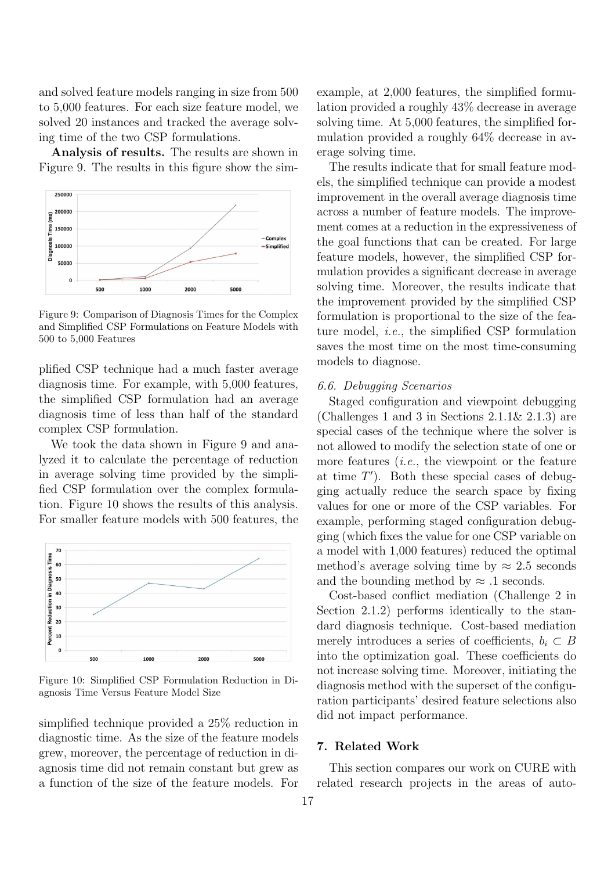and solved feature models ranging in size from 500 to 5,000 features. For each size feature model, we solved 20 instances and tracked the average solving time of the two CSP formulations.

Analysis of results. The results are shown in Figure 9. The results in this figure show the sim-



Figure 9: Comparison of Diagnosis Times for the Complex and Simplified CSP Formulations on Feature Models with 500 to 5,000 Features

plified CSP technique had a much faster average diagnosis time. For example, with 5,000 features, the simplified CSP formulation had an average diagnosis time of less than half of the standard complex CSP formulation.

We took the data shown in Figure 9 and analyzed it to calculate the percentage of reduction in average solving time provided by the simplified CSP formulation over the complex formulation. Figure 10 shows the results of this analysis. For smaller feature models with 500 features, the



Figure 10: Simplified CSP Formulation Reduction in Diagnosis Time Versus Feature Model Size

simplified technique provided a 25% reduction in diagnostic time. As the size of the feature models grew, moreover, the percentage of reduction in diagnosis time did not remain constant but grew as a function of the size of the feature models. For

example, at 2,000 features, the simplified formulation provided a roughly 43% decrease in average solving time. At 5,000 features, the simplified formulation provided a roughly 64% decrease in average solving time.

The results indicate that for small feature models, the simplified technique can provide a modest improvement in the overall average diagnosis time across a number of feature models. The improvement comes at a reduction in the expressiveness of the goal functions that can be created. For large feature models, however, the simplified CSP formulation provides a significant decrease in average solving time. Moreover, the results indicate that the improvement provided by the simplified CSP formulation is proportional to the size of the feature model, *i.e.*, the simplified CSP formulation saves the most time on the most time-consuming models to diagnose.

#### *6.6. Debugging Scenarios*

Staged configuration and viewpoint debugging (Challenges 1 and 3 in Sections  $2.1.1\& 2.1.3$ ) are special cases of the technique where the solver is not allowed to modify the selection state of one or more features (*i.e.*, the viewpoint or the feature at time  $T'$ ). Both these special cases of debugging actually reduce the search space by fixing values for one or more of the CSP variables. For example, performing staged configuration debugging (which fixes the value for one CSP variable on a model with 1,000 features) reduced the optimal method's average solving time by  $\approx 2.5$  seconds and the bounding method by  $\approx$  .1 seconds.

Cost-based conflict mediation (Challenge 2 in Section 2.1.2) performs identically to the standard diagnosis technique. Cost-based mediation merely introduces a series of coefficients,  $b_i \subset B$ into the optimization goal. These coefficients do not increase solving time. Moreover, initiating the diagnosis method with the superset of the configuration participants' desired feature selections also did not impact performance.

### 7. Related Work

This section compares our work on CURE with related research projects in the areas of auto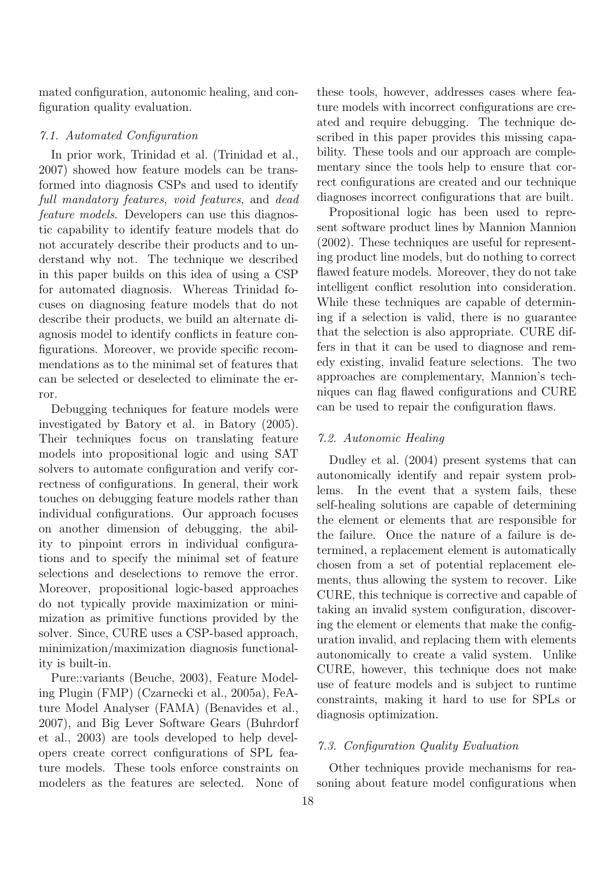mated configuration, autonomic healing, and configuration quality evaluation.

#### *7.1. Automated Configuration*

In prior work, Trinidad et al. (Trinidad et al., 2007) showed how feature models can be transformed into diagnosis CSPs and used to identify *full mandatory features*, *void features*, and *dead feature models*. Developers can use this diagnostic capability to identify feature models that do not accurately describe their products and to understand why not. The technique we described in this paper builds on this idea of using a CSP for automated diagnosis. Whereas Trinidad focuses on diagnosing feature models that do not describe their products, we build an alternate diagnosis model to identify conflicts in feature configurations. Moreover, we provide specific recommendations as to the minimal set of features that can be selected or deselected to eliminate the error.

Debugging techniques for feature models were investigated by Batory et al. in Batory (2005). Their techniques focus on translating feature models into propositional logic and using SAT solvers to automate configuration and verify correctness of configurations. In general, their work touches on debugging feature models rather than individual configurations. Our approach focuses on another dimension of debugging, the ability to pinpoint errors in individual configurations and to specify the minimal set of feature selections and deselections to remove the error. Moreover, propositional logic-based approaches do not typically provide maximization or minimization as primitive functions provided by the solver. Since, CURE uses a CSP-based approach, minimization/maximization diagnosis functionality is built-in.

Pure::variants (Beuche, 2003), Feature Modeling Plugin (FMP) (Czarnecki et al., 2005a), FeAture Model Analyser (FAMA) (Benavides et al., 2007), and Big Lever Software Gears (Buhrdorf et al., 2003) are tools developed to help developers create correct configurations of SPL feature models. These tools enforce constraints on modelers as the features are selected. None of these tools, however, addresses cases where feature models with incorrect configurations are created and require debugging. The technique described in this paper provides this missing capability. These tools and our approach are complementary since the tools help to ensure that correct configurations are created and our technique diagnoses incorrect configurations that are built.

Propositional logic has been used to represent software product lines by Mannion Mannion (2002). These techniques are useful for representing product line models, but do nothing to correct flawed feature models. Moreover, they do not take intelligent conflict resolution into consideration. While these techniques are capable of determining if a selection is valid, there is no guarantee that the selection is also appropriate. CURE differs in that it can be used to diagnose and remedy existing, invalid feature selections. The two approaches are complementary, Mannion's techniques can flag flawed configurations and CURE can be used to repair the configuration flaws.

## *7.2. Autonomic Healing*

Dudley et al. (2004) present systems that can autonomically identify and repair system problems. In the event that a system fails, these self-healing solutions are capable of determining the element or elements that are responsible for the failure. Once the nature of a failure is determined, a replacement element is automatically chosen from a set of potential replacement elements, thus allowing the system to recover. Like CURE, this technique is corrective and capable of taking an invalid system configuration, discovering the element or elements that make the configuration invalid, and replacing them with elements autonomically to create a valid system. Unlike CURE, however, this technique does not make use of feature models and is subject to runtime constraints, making it hard to use for SPLs or diagnosis optimization.

## *7.3. Configuration Quality Evaluation*

Other techniques provide mechanisms for reasoning about feature model configurations when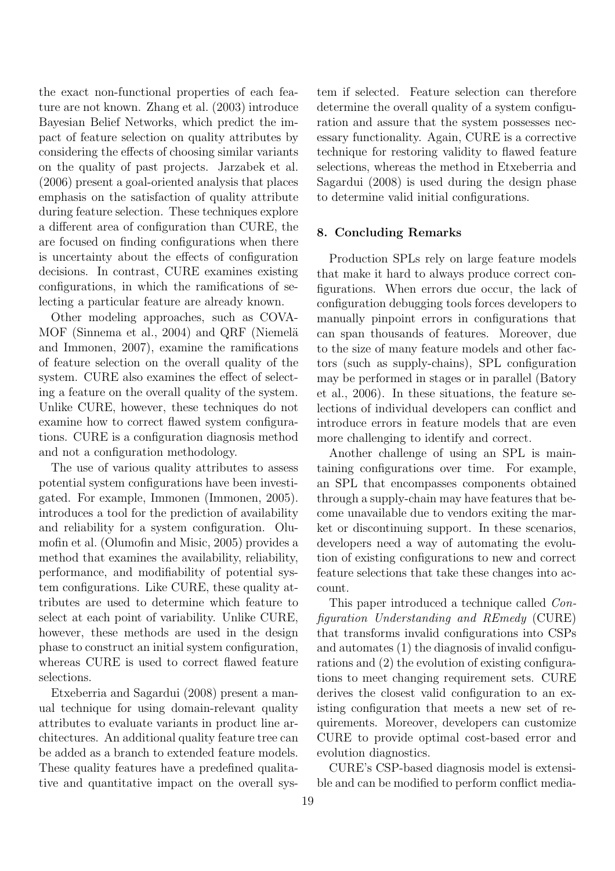the exact non-functional properties of each feature are not known. Zhang et al. (2003) introduce Bayesian Belief Networks, which predict the impact of feature selection on quality attributes by considering the effects of choosing similar variants on the quality of past projects. Jarzabek et al. (2006) present a goal-oriented analysis that places emphasis on the satisfaction of quality attribute during feature selection. These techniques explore a different area of configuration than CURE, the are focused on finding configurations when there is uncertainty about the effects of configuration decisions. In contrast, CURE examines existing configurations, in which the ramifications of selecting a particular feature are already known.

Other modeling approaches, such as COVA-MOF (Sinnema et al., 2004) and QRF (Niemelä and Immonen, 2007), examine the ramifications of feature selection on the overall quality of the system. CURE also examines the effect of selecting a feature on the overall quality of the system. Unlike CURE, however, these techniques do not examine how to correct flawed system configurations. CURE is a configuration diagnosis method and not a configuration methodology.

The use of various quality attributes to assess potential system configurations have been investigated. For example, Immonen (Immonen, 2005). introduces a tool for the prediction of availability and reliability for a system configuration. Olumofin et al. (Olumofin and Misic, 2005) provides a method that examines the availability, reliability, performance, and modifiability of potential system configurations. Like CURE, these quality attributes are used to determine which feature to select at each point of variability. Unlike CURE, however, these methods are used in the design phase to construct an initial system configuration, whereas CURE is used to correct flawed feature selections.

Etxeberria and Sagardui (2008) present a manual technique for using domain-relevant quality attributes to evaluate variants in product line architectures. An additional quality feature tree can be added as a branch to extended feature models. These quality features have a predefined qualitative and quantitative impact on the overall system if selected. Feature selection can therefore determine the overall quality of a system configuration and assure that the system possesses necessary functionality. Again, CURE is a corrective technique for restoring validity to flawed feature selections, whereas the method in Etxeberria and Sagardui (2008) is used during the design phase to determine valid initial configurations.

# 8. Concluding Remarks

Production SPLs rely on large feature models that make it hard to always produce correct configurations. When errors due occur, the lack of configuration debugging tools forces developers to manually pinpoint errors in configurations that can span thousands of features. Moreover, due to the size of many feature models and other factors (such as supply-chains), SPL configuration may be performed in stages or in parallel (Batory et al., 2006). In these situations, the feature selections of individual developers can conflict and introduce errors in feature models that are even more challenging to identify and correct.

Another challenge of using an SPL is maintaining configurations over time. For example, an SPL that encompasses components obtained through a supply-chain may have features that become unavailable due to vendors exiting the market or discontinuing support. In these scenarios, developers need a way of automating the evolution of existing configurations to new and correct feature selections that take these changes into account.

This paper introduced a technique called *Configuration Understanding and REmedy* (CURE) that transforms invalid configurations into CSPs and automates (1) the diagnosis of invalid configurations and (2) the evolution of existing configurations to meet changing requirement sets. CURE derives the closest valid configuration to an existing configuration that meets a new set of requirements. Moreover, developers can customize CURE to provide optimal cost-based error and evolution diagnostics.

CURE's CSP-based diagnosis model is extensible and can be modified to perform conflict media-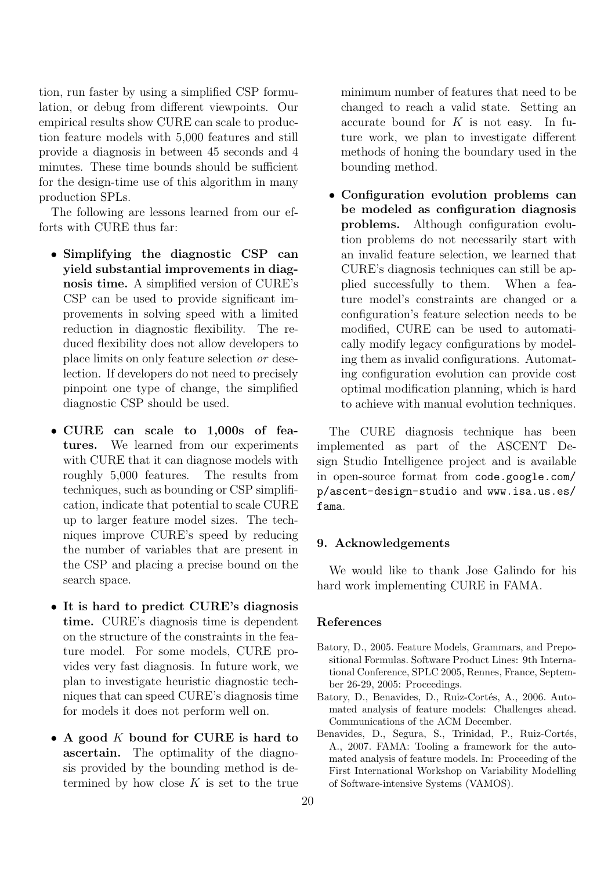tion, run faster by using a simplified CSP formulation, or debug from different viewpoints. Our empirical results show CURE can scale to production feature models with 5,000 features and still provide a diagnosis in between 45 seconds and 4 minutes. These time bounds should be sufficient for the design-time use of this algorithm in many production SPLs.

The following are lessons learned from our efforts with CURE thus far:

- Simplifying the diagnostic CSP can yield substantial improvements in diagnosis time. A simplified version of CURE's CSP can be used to provide significant improvements in solving speed with a limited reduction in diagnostic flexibility. The reduced flexibility does not allow developers to place limits on only feature selection *or* deselection. If developers do not need to precisely pinpoint one type of change, the simplified diagnostic CSP should be used.
- CURE can scale to 1,000s of features. We learned from our experiments with CURE that it can diagnose models with roughly 5,000 features. The results from techniques, such as bounding or CSP simplification, indicate that potential to scale CURE up to larger feature model sizes. The techniques improve CURE's speed by reducing the number of variables that are present in the CSP and placing a precise bound on the search space.
- It is hard to predict CURE's diagnosis time. CURE's diagnosis time is dependent on the structure of the constraints in the feature model. For some models, CURE provides very fast diagnosis. In future work, we plan to investigate heuristic diagnostic techniques that can speed CURE's diagnosis time for models it does not perform well on.
- A good  $K$  bound for CURE is hard to ascertain. The optimality of the diagnosis provided by the bounding method is determined by how close  $K$  is set to the true

minimum number of features that need to be changed to reach a valid state. Setting an accurate bound for  $K$  is not easy. In future work, we plan to investigate different methods of honing the boundary used in the bounding method.

• Configuration evolution problems can be modeled as configuration diagnosis problems. Although configuration evolution problems do not necessarily start with an invalid feature selection, we learned that CURE's diagnosis techniques can still be applied successfully to them. When a feature model's constraints are changed or a configuration's feature selection needs to be modified, CURE can be used to automatically modify legacy configurations by modeling them as invalid configurations. Automating configuration evolution can provide cost optimal modification planning, which is hard to achieve with manual evolution techniques.

The CURE diagnosis technique has been implemented as part of the ASCENT Design Studio Intelligence project and is available in open-source format from code.google.com/ p/ascent-design-studio and www.isa.us.es/ fama.

## 9. Acknowledgements

We would like to thank Jose Galindo for his hard work implementing CURE in FAMA.

#### References

- Batory, D., 2005. Feature Models, Grammars, and Prepositional Formulas. Software Product Lines: 9th International Conference, SPLC 2005, Rennes, France, September 26-29, 2005: Proceedings.
- Batory, D., Benavides, D., Ruiz-Cortés, A., 2006. Automated analysis of feature models: Challenges ahead. Communications of the ACM December.
- Benavides, D., Segura, S., Trinidad, P., Ruiz-Cortés, A., 2007. FAMA: Tooling a framework for the automated analysis of feature models. In: Proceeding of the First International Workshop on Variability Modelling of Software-intensive Systems (VAMOS).